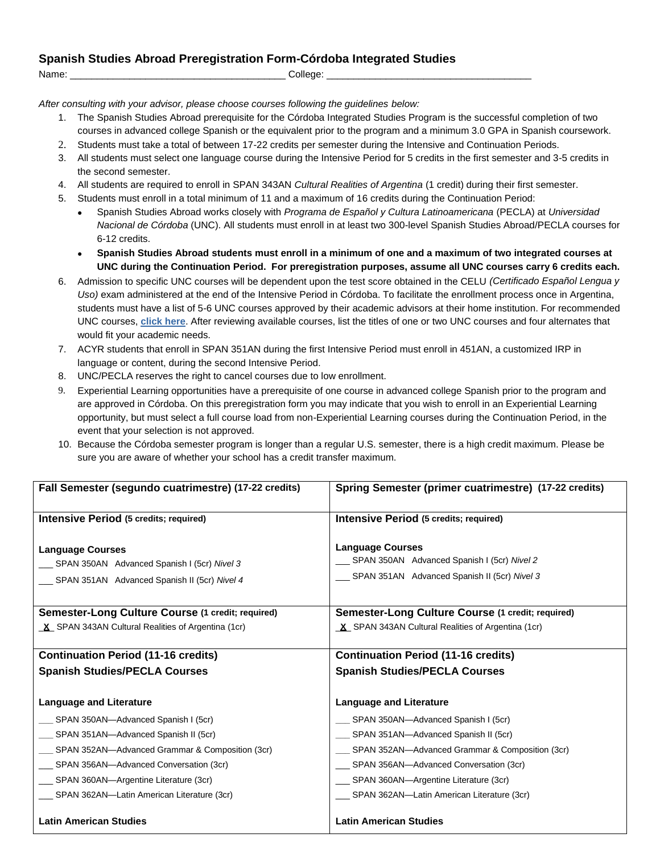## **Spanish Studies Abroad Preregistration Form-Córdoba Integrated Studies**

Name: \_\_\_\_\_\_\_\_\_\_\_\_\_\_\_\_\_\_\_\_\_\_\_\_\_\_\_\_\_\_\_\_\_\_\_\_\_\_\_\_ College: \_\_\_\_\_\_\_\_\_\_\_\_\_\_\_\_\_\_\_\_\_\_\_\_\_\_\_\_\_\_\_\_\_\_\_\_\_\_

*After consulting with your advisor, please choose courses following the guidelines below:*

- 1. The Spanish Studies Abroad prerequisite for the Córdoba Integrated Studies Program is the successful completion of two courses in advanced college Spanish or the equivalent prior to the program and a minimum 3.0 GPA in Spanish coursework.
- 2. Students must take a total of between 17-22 credits per semester during the Intensive and Continuation Periods.
- 3. All students must select one language course during the Intensive Period for 5 credits in the first semester and 3-5 credits in the second semester.
- 4. All students are required to enroll in SPAN 343AN *Cultural Realities of Argentina* (1 credit) during their first semester.
- 5. Students must enroll in a total minimum of 11 and a maximum of 16 credits during the Continuation Period:
	- Spanish Studies Abroad works closely with *Programa de Español y Cultura Latinoamericana* (PECLA) at *Universidad Nacional de Córdoba* (UNC). All students must enroll in at least two 300-level Spanish Studies Abroad/PECLA courses for 6-12 credits.
	- **Spanish Studies Abroad students must enroll in a minimum of one and a maximum of two integrated courses at UNC during the Continuation Period. For preregistration purposes, assume all UNC courses carry 6 credits each.**
- 6. Admission to specific UNC courses will be dependent upon the test score obtained in the CELU *(Certificado Español Lengua y Uso)* exam administered at the end of the Intensive Period in Córdoba. To facilitate the enrollment process once in Argentina, students must have a list of 5-6 UNC courses approved by their academic advisors at their home institution. For recommended UNC courses, **[click here](https://spanishstudies.org/wp-content/uploads/2019/09/COR_-Integrated_Course_Guide_2013_Final.pdf)**. After reviewing available courses, list the titles of one or two UNC courses and four alternates that would fit your academic needs.
- 7. ACYR students that enroll in SPAN 351AN during the first Intensive Period must enroll in 451AN, a customized IRP in language or content, during the second Intensive Period.
- 8. UNC/PECLA reserves the right to cancel courses due to low enrollment.
- 9. Experiential Learning opportunities have a prerequisite of one course in advanced college Spanish prior to the program and are approved in Córdoba. On this preregistration form you may indicate that you wish to enroll in an Experiential Learning opportunity, but must select a full course load from non-Experiential Learning courses during the Continuation Period, in the event that your selection is not approved.
- 10. Because the Córdoba semester program is longer than a regular U.S. semester, there is a high credit maximum. Please be sure you are aware of whether your school has a credit transfer maximum.

| Fall Semester (segundo cuatrimestre) (17-22 credits) | Spring Semester (primer cuatrimestre) (17-22 credits) |
|------------------------------------------------------|-------------------------------------------------------|
|                                                      |                                                       |
| <b>Intensive Period (5 credits; required)</b>        | <b>Intensive Period (5 credits; required)</b>         |
|                                                      |                                                       |
| <b>Language Courses</b>                              | <b>Language Courses</b>                               |
| __ SPAN 350AN Advanced Spanish I (5cr) Nivel 3       | SPAN 350AN Advanced Spanish I (5cr) Nivel 2           |
| SPAN 351AN Advanced Spanish II (5cr) Nivel 4         | __ SPAN 351AN Advanced Spanish II (5cr) Nivel 3       |
|                                                      |                                                       |
| Semester-Long Culture Course (1 credit; required)    | Semester-Long Culture Course (1 credit; required)     |
| X SPAN 343AN Cultural Realities of Argentina (1cr)   | $X$ SPAN 343AN Cultural Realities of Argentina (1cr)  |
|                                                      |                                                       |
| <b>Continuation Period (11-16 credits)</b>           | <b>Continuation Period (11-16 credits)</b>            |
| <b>Spanish Studies/PECLA Courses</b>                 | <b>Spanish Studies/PECLA Courses</b>                  |
|                                                      |                                                       |
| <b>Language and Literature</b>                       | <b>Language and Literature</b>                        |
| SPAN 350AN-Advanced Spanish I (5cr)                  | SPAN 350AN-Advanced Spanish I (5cr)                   |
| SPAN 351AN—Advanced Spanish II (5cr)                 | SPAN 351AN-Advanced Spanish II (5cr)                  |
| SPAN 352AN-Advanced Grammar & Composition (3cr)      | __ SPAN 352AN-Advanced Grammar & Composition (3cr)    |
| SPAN 356AN-Advanced Conversation (3cr)               | __ SPAN 356AN-Advanced Conversation (3cr)             |
| SPAN 360AN-Argentine Literature (3cr)                | SPAN 360AN-Argentine Literature (3cr)                 |
| SPAN 362AN-Latin American Literature (3cr)           | SPAN 362AN-Latin American Literature (3cr)            |
|                                                      |                                                       |
| <b>Latin American Studies</b>                        | <b>Latin American Studies</b>                         |